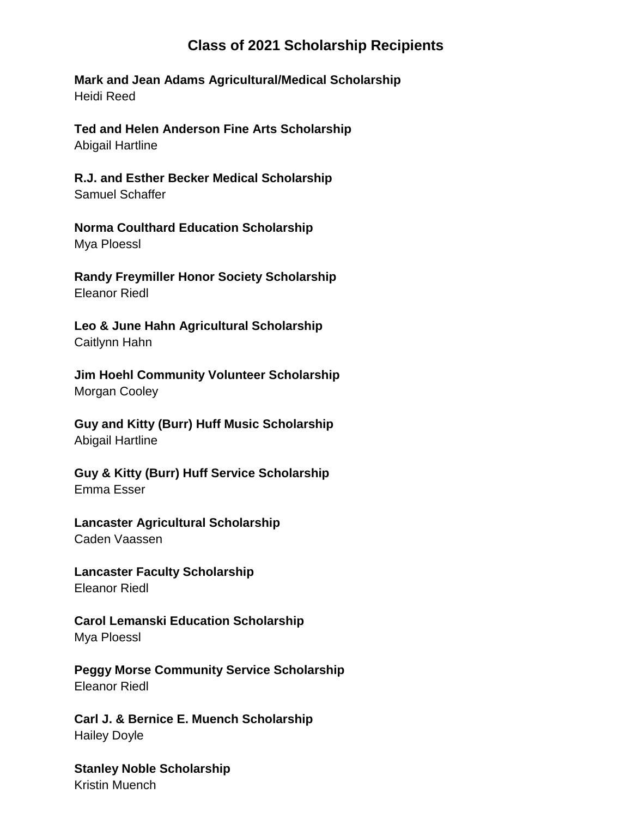## **Class of 2021 Scholarship Recipients**

**Mark and Jean Adams Agricultural/Medical Scholarship**  Heidi Reed

**Ted and Helen Anderson Fine Arts Scholarship** Abigail Hartline

**R.J. and Esther Becker Medical Scholarship** Samuel Schaffer

**Norma Coulthard Education Scholarship** Mya Ploessl

**Randy Freymiller Honor Society Scholarship** Eleanor Riedl

**Leo & June Hahn Agricultural Scholarship** Caitlynn Hahn

**Jim Hoehl Community Volunteer Scholarship** Morgan Cooley

**Guy and Kitty (Burr) Huff Music Scholarship** Abigail Hartline

**Guy & Kitty (Burr) Huff Service Scholarship** Emma Esser

**Lancaster Agricultural Scholarship**  Caden Vaassen

**Lancaster Faculty Scholarship** Eleanor Riedl

**Carol Lemanski Education Scholarship** Mya Ploessl

**Peggy Morse Community Service Scholarship** Eleanor Riedl

**Carl J. & Bernice E. Muench Scholarship** Hailey Doyle

**Stanley Noble Scholarship** Kristin Muench